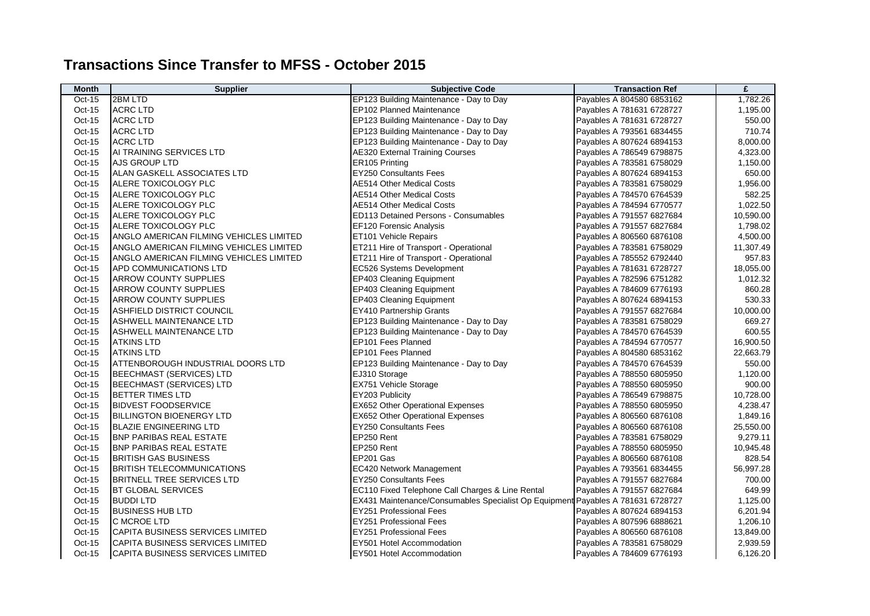## **Transactions Since Transfer to MFSS - October 2015**

| <b>Month</b> | Supplier                                | <b>Subjective Code</b>                                                          | <b>Transaction Ref</b>    | £         |
|--------------|-----------------------------------------|---------------------------------------------------------------------------------|---------------------------|-----------|
| $Oct-15$     | 2BM LTD                                 | EP123 Building Maintenance - Day to Day                                         | Payables A 804580 6853162 | 1,782.26  |
| Oct-15       | <b>ACRC LTD</b>                         | EP102 Planned Maintenance                                                       | Payables A 781631 6728727 | 1,195.00  |
| $Oct-15$     | <b>ACRC LTD</b>                         | EP123 Building Maintenance - Day to Day                                         | Payables A 781631 6728727 | 550.00    |
| Oct-15       | <b>ACRC LTD</b>                         | EP123 Building Maintenance - Day to Day                                         | Payables A 793561 6834455 | 710.74    |
| Oct-15       | <b>ACRC LTD</b>                         | EP123 Building Maintenance - Day to Day                                         | Payables A 807624 6894153 | 8,000.00  |
| Oct-15       | AI TRAINING SERVICES LTD                | <b>AE320 External Training Courses</b>                                          | Payables A 786549 6798875 | 4,323.00  |
| Oct-15       | AJS GROUP LTD                           | ER105 Printing                                                                  | Payables A 783581 6758029 | 1,150.00  |
| Oct-15       | ALAN GASKELL ASSOCIATES LTD             | <b>EY250 Consultants Fees</b>                                                   | Payables A 807624 6894153 | 650.00    |
| Oct-15       | ALERE TOXICOLOGY PLC                    | <b>AE514 Other Medical Costs</b>                                                | Payables A 783581 6758029 | 1,956.00  |
| Oct-15       | ALERE TOXICOLOGY PLC                    | <b>AE514 Other Medical Costs</b>                                                | Payables A 784570 6764539 | 582.25    |
| Oct-15       | ALERE TOXICOLOGY PLC                    | <b>AE514 Other Medical Costs</b>                                                | Payables A 784594 6770577 | 1,022.50  |
| Oct-15       | ALERE TOXICOLOGY PLC                    | ED113 Detained Persons - Consumables                                            | Payables A 791557 6827684 | 10,590.00 |
| Oct-15       | ALERE TOXICOLOGY PLC                    | EF120 Forensic Analysis                                                         | Payables A 791557 6827684 | 1,798.02  |
| Oct-15       | ANGLO AMERICAN FILMING VEHICLES LIMITED | ET101 Vehicle Repairs                                                           | Payables A 806560 6876108 | 4,500.00  |
| Oct-15       | ANGLO AMERICAN FILMING VEHICLES LIMITED | ET211 Hire of Transport - Operational                                           | Payables A 783581 6758029 | 11,307.49 |
| Oct-15       | ANGLO AMERICAN FILMING VEHICLES LIMITED | ET211 Hire of Transport - Operational                                           | Payables A 785552 6792440 | 957.83    |
| Oct-15       | APD COMMUNICATIONS LTD                  | EC526 Systems Development                                                       | Payables A 781631 6728727 | 18,055.00 |
| Oct-15       | ARROW COUNTY SUPPLIES                   | EP403 Cleaning Equipment                                                        | Payables A 782596 6751282 | 1,012.32  |
| Oct-15       | <b>ARROW COUNTY SUPPLIES</b>            | EP403 Cleaning Equipment                                                        | Payables A 784609 6776193 | 860.28    |
| Oct-15       | ARROW COUNTY SUPPLIES                   | EP403 Cleaning Equipment                                                        | Payables A 807624 6894153 | 530.33    |
| Oct-15       | ASHFIELD DISTRICT COUNCIL               | <b>EY410 Partnership Grants</b>                                                 | Payables A 791557 6827684 | 10,000.00 |
| Oct-15       | ASHWELL MAINTENANCE LTD                 | EP123 Building Maintenance - Day to Day                                         | Payables A 783581 6758029 | 669.27    |
| Oct-15       | ASHWELL MAINTENANCE LTD                 | EP123 Building Maintenance - Day to Day                                         | Payables A 784570 6764539 | 600.55    |
| Oct-15       | <b>ATKINS LTD</b>                       | EP101 Fees Planned                                                              | Payables A 784594 6770577 | 16,900.50 |
| Oct-15       | <b>ATKINS LTD</b>                       | EP101 Fees Planned                                                              | Payables A 804580 6853162 | 22,663.79 |
| Oct-15       | ATTENBOROUGH INDUSTRIAL DOORS LTD       | EP123 Building Maintenance - Day to Day                                         | Payables A 784570 6764539 | 550.00    |
| Oct-15       | <b>BEECHMAST (SERVICES) LTD</b>         | EJ310 Storage                                                                   | Payables A 788550 6805950 | 1,120.00  |
| Oct-15       | <b>BEECHMAST (SERVICES) LTD</b>         | EX751 Vehicle Storage                                                           | Payables A 788550 6805950 | 900.00    |
| Oct-15       | <b>BETTER TIMES LTD</b>                 | EY203 Publicity                                                                 | Payables A 786549 6798875 | 10,728.00 |
| Oct-15       | <b>BIDVEST FOODSERVICE</b>              | <b>EX652 Other Operational Expenses</b>                                         | Payables A 788550 6805950 | 4,238.47  |
| Oct-15       | <b>BILLINGTON BIOENERGY LTD</b>         | <b>EX652 Other Operational Expenses</b>                                         | Payables A 806560 6876108 | 1,849.16  |
| Oct-15       | <b>BLAZIE ENGINEERING LTD</b>           | <b>EY250 Consultants Fees</b>                                                   | Payables A 806560 6876108 | 25,550.00 |
| Oct-15       | <b>BNP PARIBAS REAL ESTATE</b>          | EP250 Rent                                                                      | Payables A 783581 6758029 | 9,279.11  |
| Oct-15       | <b>BNP PARIBAS REAL ESTATE</b>          | EP250 Rent                                                                      | Payables A 788550 6805950 | 10,945.48 |
| Oct-15       | <b>BRITISH GAS BUSINESS</b>             | EP201 Gas                                                                       | Payables A 806560 6876108 | 828.54    |
| Oct-15       | <b>BRITISH TELECOMMUNICATIONS</b>       | EC420 Network Management                                                        | Payables A 793561 6834455 | 56,997.28 |
| Oct-15       | <b>BRITNELL TREE SERVICES LTD</b>       | <b>EY250 Consultants Fees</b>                                                   | Payables A 791557 6827684 | 700.00    |
| Oct-15       | <b>BT GLOBAL SERVICES</b>               | EC110 Fixed Telephone Call Charges & Line Rental                                | Payables A 791557 6827684 | 649.99    |
| Oct-15       | <b>BUDDILTD</b>                         | EX431 Maintenance/Consumables Specialist Op Equipment Payables A 781631 6728727 |                           | 1,125.00  |
| Oct-15       | <b>BUSINESS HUB LTD</b>                 | <b>EY251 Professional Fees</b>                                                  | Payables A 807624 6894153 | 6,201.94  |
| Oct-15       | C MCROE LTD                             | <b>EY251 Professional Fees</b>                                                  | Payables A 807596 6888621 | 1,206.10  |
| Oct-15       | CAPITA BUSINESS SERVICES LIMITED        | <b>EY251 Professional Fees</b>                                                  | Payables A 806560 6876108 | 13,849.00 |
| Oct-15       | CAPITA BUSINESS SERVICES LIMITED        | EY501 Hotel Accommodation                                                       | Payables A 783581 6758029 | 2,939.59  |
| Oct-15       | CAPITA BUSINESS SERVICES LIMITED        | EY501 Hotel Accommodation                                                       | Payables A 784609 6776193 | 6,126.20  |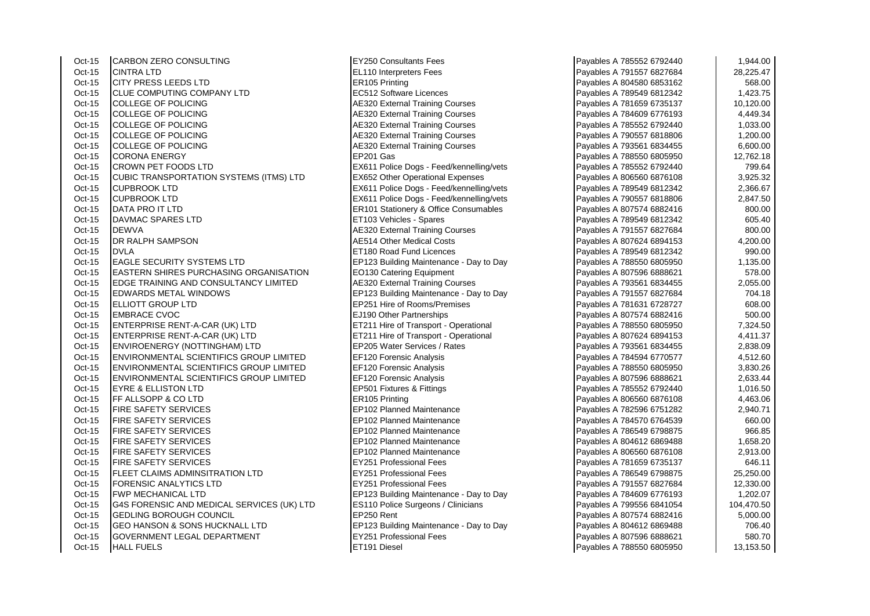Oct-15 CARBON ZERO CONSULTING CONSULTING EX250 Consultants Fees<br>Oct-15 CINTRA I TD Oct-15 CINTRA LTD EL110 Interpreters Fees<br>
Oct-15 CITY PRESS LEEDS LTD ER105 Frinting CITY PRESS LEEDS LTD Oct-15 CLUE COMPUTING COMPANY LTD EC512 Software Licences Oct-15 COLLEGE OF POLICING And Act Act AE320 External Training Courses Oct-15 COLLEGE OF POLICING ALL AND RESIZE AT A 78460 External Training Courses Oct-15 COLLEGE OF POLICING AE320 External Training Courses Payables Activities A 785520 External Training Courses **COLLEGE OF POLICING ACCORDING ACCORDING ACCORDING ACCORDING ACCORDING ACCORDING A** Oct-15 COLLEGE OF POLICING And The Same AE320 External Training Courses Oct-15 CORONA ENERGY EP201 Gas Payables A 788550 6805950 12,762.18 Oct-15 CROWN PET FOODS LTD EX611 Police Dogs - Feed/kennelling/vets Oct-15 CUBIC TRANSPORTATION SYSTEMS (ITMS) LTD EX652 Other Operational Expenses<br>Oct-15 CUPBROOK I TD Oct-15 CUPBROOK LTD CUPBROOK LTD EX611 Police Dogs - Feed/kennelling/vets Payables A 789549 6812 2,366.674 681<br>Payables A 789549 6812 2,366.677 6812 2,366.678 6812 2,366.678 6812 2,366.674 2,366.678 6812 2,366.678 6812 2, Oct-15 DATA PRO IT LTD ER101 Stationery & Office Consumables<br>Oct-15 DAVMAC SPARES I TD Oct-15 DAVMAC SPARES LTD ET103 Vehicles - Spares Payables A 789549 6812342 605.40 Oct-15 DEWVA <br>Oct-15 DR RAI PH SAMPSON AF514 Other Medical Costs Oct-15 DR RALPH SAMPSON AE514 Other Medical Costs Payables A 807624 6894 6894153 100 MM and Licences Payables A 807624 6894 68924 68924 68924 68924 68924 68924 68924 68924 68924 68924 68924 68924 68924 68924 68924 68924 68 Oct-15 EAGLE SECURITY SYSTEMS LTD EP123 Building Maintenance - Day to Day Oct-15 **EASTERN SHIRES PURCHASING ORGANISATION** EQ130 Catering Faultoment Oct-15 EDGE TRAINING AND CONSULTANCY LIMITED **AE320** External Training Courses Oct-15 EDWARDS METAL WINDOWS EP123 Building Maintenance - Day to Day Oct-15 ELLIOTT GROUP LTD EP251 Hire of Rooms/Premises Oct-15 EMBRACE CVOC EVALUATION ELECTRIC EVALUATION ELECTRIC ENTREMINISTIC PARTNERSHIPS PAYABLES A 807574 68824 Oct-15 ENTERPRISE RENT-A-CAR (UK) LTD ET211 Hire of Transport - Operational Oct-15 ENTERPRISE RENT-A-CAR (UK) LTD ET211 Hire of Transport - Operational Oct-15 ENVIROENERGY (NOTTINGHAM) LTD **EP205 Water Services / Rates** Pates Pates Pates Pates Payables A 793561 684<br>Payable Represent A 793561 68345 2,839.000 Feed of the 714 feed of the 793.000 Feed of the 714 feed of the 7 ENVIRONMENTAL SCIENTIFICS GROUP LIMITED **EF120** Forensic Analysis Oct-15 ENVIRONMENTAL SCIENTIFICS GROUP LIMITED EF120 Forensic Analysis<br>Oct-15 ENVIRONMENTAL SCIENTIFICS GROUP LIMITED EF120 Forensic Analysis ENVIRONMENTAL SCIENTIFICS GROUP LIMITED EF120 Forensic Analysis Oct-15 EYRE & ELLISTON LTD EP501 Fixtures & Fittings Oct-15 **FF ALLSOPP & CO LTD** ER105 Printing **ER105** Printing Oct-15 FIRE SAFETY SERVICES EP102 Planned Maintenance Oct-15 FIRE SAFETY SERVICES EPID2 Planned Maintenance<br>Oct-15 FIRE SAFETY SERVICES FRAGGES FIRE SAFETY SERVICES EP102 Planned Maintenance Oct-15 FIRE SAFETY SERVICES EP102 Planned Maintenance Oct-15 FIRE SAFETY SERVICES EP102 Planned Maintenance Oct-15 FIRE SAFETY SERVICES EXAMPLE THE RESERVICES RESERVED FOR PAYABLE PROFESSIONAL FEES Oct-15 FLEET CLAIMS ADMINSITRATION LTD EY251 Professional Fees<br>Oct-15 FORENSIC ANALYTICS LTD **FORENSIC ANALYTICS LTD** Oct-15 FWP MECHANICAL LTD EP123 Building Maintenance - Day to Day Oct-15 G4S FORENSIC AND MEDICAL SERVICES (UK) LTD ES110 Police Surgeons / Clinicians Oct-15 GEDLING BOROUGH COUNCIL EXAMPLE REPAYABLES A 807574 68824 Oct-15 GEO HANSON & SONS HUCKNALL LTD EP123 Building Maintenance - Day to Day Oct-15 GOVERNMENT LEGAL DEPARTMENT EXAMPLE RESOLUTION RESOLUTION RESOLUTION RESOLUTION RESOLUTION RESOLUTION R Oct-15 HALL FUELS ET191 Diesel Payables A 788550 6805950 13,153.50

EX611 Police Dogs - Feed/kennelling/vets **ET180 Road Fund Licences** 

| Payables A 785552 6792440                              | 1,944.00             |
|--------------------------------------------------------|----------------------|
| Payables A 791557 6827684                              | 28,225.47            |
| Payables A 804580 6853162                              | 568.00               |
| Payables A 789549 6812342                              | 1,423.75             |
| Payables A 781659 6735137                              | 10,120.00            |
| Payables A 784609 6776193                              | 4,449.34             |
| Payables A 785552 6792440                              | 1,033.00             |
| Payables A 790557 6818806                              | 1,200.00             |
| Payables A 793561 6834455                              | 6,600.00             |
| Payables A 788550 6805950                              | 12,762.18            |
| Payables A 785552 6792440                              | 799.64               |
| Payables A 806560 6876108                              | 3,925.32             |
| Payables A 789549 6812342                              | 2,366.67             |
| Payables A 790557 6818806                              | 2,847.50             |
| Payables A 807574 6882416                              | 800.00               |
| Payables A 789549 6812342                              | 605.40               |
| Payables A 791557 6827684                              | 800.00               |
| Payables A 807624 6894153                              | 4,200.00             |
| Payables A 789549 6812342                              | 990.00               |
| Payables A 788550 6805950                              | 1,135.00             |
| Payables A 807596 6888621                              | 578.00               |
| Payables A 793561 6834455                              | 2,055.00             |
| Payables A 791557 6827684                              | 704.18               |
| Payables A 781631 6728727                              | 608.00               |
| Payables A 807574 6882416                              | 500.00               |
| Payables A 788550 6805950                              | 7,324.50             |
| Payables A 807624 6894153                              | 4,411.37             |
| Payables A 793561 6834455<br>Payables A 784594 6770577 | 2,838.09             |
| Payables A 788550 6805950                              | 4,512.60             |
| Payables A 807596 6888621                              | 3,830.26<br>2,633.44 |
| Payables A 785552 6792440                              | 1,016.50             |
| Payables A 806560 6876108                              | 4,463.06             |
| Payables A 782596 6751282                              | 2,940.71             |
| Payables A 784570 6764539                              | 660.00               |
| Payables A 786549 6798875                              | 966.85               |
| Payables A 804612 6869488                              | 1,658.20             |
| Payables A 806560 6876108                              | 2,913.00             |
| Payables A 781659 6735137                              | 646.11               |
| Payables A 786549 6798875                              | 25,250.00            |
| Payables A 791557 6827684                              | 12,330.00            |
| Payables A 784609 6776193                              | 1,202.07             |
| Payables A 799556 6841054                              | 104,470.50           |
| Payables A 807574 6882416                              | 5,000.00             |
| Payables A 804612 6869488                              | 706.40               |
| Payables A 807596 6888621                              | 580.70               |
| Payables A 788550 6805950                              | 13,153.50            |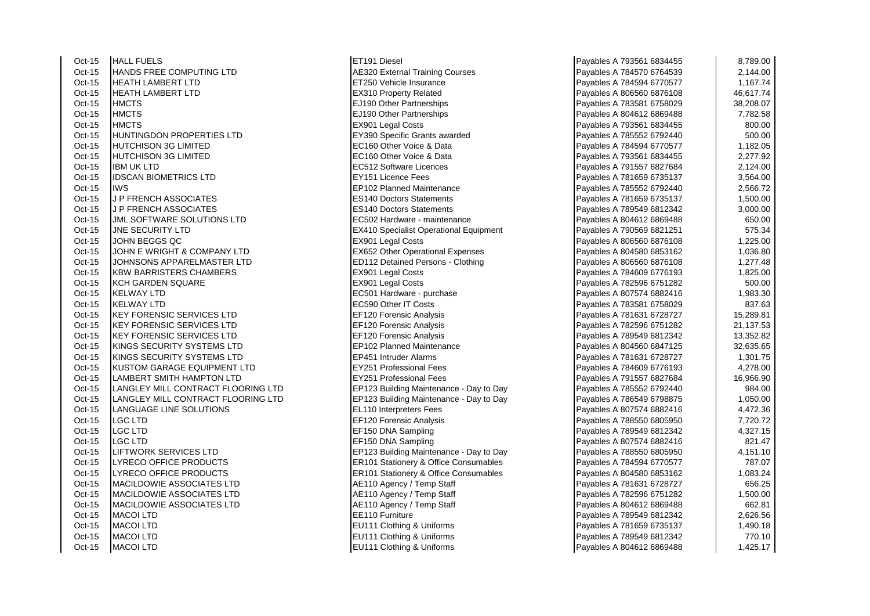Oct-15 HALL FUELS ET191 Diesel Payables A 793561 6834455 8,789.00 Oct-15 HANDS FREE COMPUTING LTD AE320 External Training Courses<br>Oct-15 HEATH LAMBERT LTD Contract A 7756 Vehicle Insurance Oct-15 |HEATH LAMBERT LTD |ET250 Vehicle Insurance 1,167.74 Oct-15 HEATH LAMBERT LTD EX310 Property Related Oct-15 HMCTS EJ190 Other Partnerships Payables A 783581 67581 67581 67581 67581 67581 67581 67581 67581 67581 6<br>Payables A 783581 67581 67581 67581 67581 67581 67581 67581 67581 67581 67581 67581 67581 67581 67581 67581 67 Oct-15 HMCTS EJ190 Other Partnerships Payables A 804612 68612 686948 7,282.58694<br>
Payables A 804612 6868 7,282.584 7,282.584 7,282.584 7,282.584 7,282.584 7,282.584 7,282.584 7,282.584 7,282. Oct-15 HMCTS EX901 Legal Costs Payables A 793561 6834455 800.00 Oct-15 HUNTINGDON PROPERTIES LTD EY390 Specific Grants awarded<br>Oct-15 HUTCHISON 3G LIMITED Oct-15 HUTCHISON 3G LIMITED EC160 Other Voice & Data Payables A 784594 6770577 1,182.05 Oct-15 **HUTCHISON 3G LIMITED EXAMPLE EXAMPLE EXAMPLE C160 Other Voice & Data** Oct-15 IBM UK LTD EC512 Software Licences Oct-15 IDSCAN BIOMETRICS LTD EY151 Licence Fees<br>Oct-15 IWS Oct-15 IWS<br>Oct-15 UP FRENCH ASSOCIATES FRENCH ASSOCIATES **J P FRENCH ASSOCIATES** Oct-15 J P FRENCH ASSOCIATES<br>Oct-15 J.MI SOFTWARE SOLUTIONS LTD FC502 Hardware - maintenance **JML SOFTWARE SOLUTIONS LTD** Oct-15 JNE SECURITY LTD EX410 Specialist Operational Equipment Oct-15 |JOHN BEGGS QC |EX901 Legal Costs Payables A 806560 6876108 1,225.00 Oct-15 JOHN E WRIGHT & COMPANY LTD EX652 Other Operational Expenses Oct-15 JOHNSONS APPARELMASTER LTD ED112 Detained Persons - Clothing Oct-15 KBW BARRISTERS CHAMBERS EX901 Legal Costs Oct-15 KCH GARDEN SQUARE EX901 Legal Costs Oct-15 KELWAY LTD EC501 Hardware - purchase Payables A 807574 6882416 FC501 Hardware - purchase Payables A 807574 6882416 1,983.300 FC590 Other IT Costs Oct-15 KELWAY LTD EC590 Other IT Costs Payables A 783581 6758029 837.63 Oct-15 KEY FORENSIC SERVICES LTD EF120 Forensic Analysis Oct-15 KEY FORENSIC SERVICES LTD EF120 Forensic Analysis Oct-15 KEY FORENSIC SERVICES LTD EF120 Forensic Analysis Oct-15 KINGS SECURITY SYSTEMS LTD EP102 Planned Maintenance<br>Oct-15 KINGS SECURITY SYSTEMS LTD EP451 Intruder Alarms Oct-15 | KINGS SECURITY SYSTEMS LTD Oct-15 KUSTOM GARAGE EQUIPMENT LTD EY251 Professional Fees<br>Oct-15 ILAMBERT SMITH HAMPTON LTD LI AMBERT SMITH HAMPTON LTD Oct-15 LANGLEY MILL CONTRACT FLOORING LTD EP123 Building Maintenance - Day to Day Oct-15 LANGLEY MILL CONTRACT FLOORING LTD EP123 Building Maintenance - Day to Day Oct-15 LANGUAGE LINE SOLUTIONS ELITE RESERVE RELATIONS Oct-15 LGC LTD EF120 Forensic Analysis Payables A 788550 6805950 7,720.72 Oct-15 LGC LTD EF150 DNA Sampling Payables A 807574 6882416 EF150 DNA Sampling Oct-15 LIFTWORK SERVICES LTD EP123 Building Maintenance - Day to Day Oct-15 LYRECO OFFICE PRODUCTS ER101 Stationery & Office Consumables Oct-15 LYRECO OFFICE PRODUCTS ERIOL ER101 Stationery & Office Consumables<br>
Oct-15 MACILDOWIE ASSOCIATES LTD A 80502162 1,083.2454 A 804580 68546162 1,083.244 MACILDOWIE ASSOCIATES LTD Oct-15 MACILDOWIE ASSOCIATES LTD AE110 Agency / Temp Staff Oct-15 MACILDOWIE ASSOCIATES LTD AE110 Agency / Temp Staff Oct-15 MACOI LTD 2,626.56 Note that the set of the set of the set of the Payables A 789549 6812342 2,626.56 Oct-15 MACOI LTD **EU111 Clothing & Uniforms** Oct-15 MACOI LTD **EU111 Clothing & Uniforms** Oct-15 MACOI LTD **EU111** Clothing & Uniforms

 $EF150$  DNA Sampling

| Payables A 793561 6834455             | 8,789.00  |
|---------------------------------------|-----------|
| Payables A 784570 6764539             | 2,144.00  |
| Payables A 784594 6770577             | 1,167.74  |
| <sup>2</sup> ayables A 806560 6876108 | 46,617.74 |
| Payables A 783581 6758029             | 38,208.07 |
| <sup>2</sup> ayables A 804612 6869488 | 7,782.58  |
| Payables A 793561 6834455             | 800.00    |
| Payables A 785552 6792440             | 500.00    |
| Payables A 784594 6770577             | 1,182.05  |
| Payables A 793561 6834455             | 2,277.92  |
| <sup>2</sup> ayables A 791557 6827684 | 2,124.00  |
| Payables A 781659 6735137             | 3,564.00  |
| Payables A 785552 6792440             | 2,566.72  |
| Payables A 781659 6735137             | 1,500.00  |
| Payables A 789549 6812342             | 3,000.00  |
| Payables A 804612 6869488             | 650.00    |
| Payables A 790569 6821251             | 575.34    |
| Payables A 806560 6876108             | 1,225.00  |
| Payables A 804580 6853162             | 1,036.80  |
| Payables A 806560 6876108             | 1,277.48  |
| Payables A 784609 6776193             | 1,825.00  |
| Payables A 782596 6751282             | 500.00    |
| Payables A 807574 6882416             | 1,983.30  |
| Payables A 783581 6758029             | 837.63    |
| Payables A 781631 6728727             | 15,289.81 |
| Payables A 782596 6751282             | 21,137.53 |
| Payables A 789549 6812342             | 13,352.82 |
| Payables A 804560 6847125             | 32,635.65 |
| Payables A 781631 6728727             | 1,301.75  |
| Payables A 784609 6776193             | 4,278.00  |
| Payables A 791557 6827684             | 16,966.90 |
| Payables A 785552 6792440             | 984.00    |
| Payables A 786549 6798875             | 1,050.00  |
| Payables A 807574 6882416             | 4,472.36  |
| Payables A 788550 6805950             | 7,720.72  |
| Payables A 789549 6812342             | 4,327.15  |
| Payables A 807574 6882416             | 821.47    |
| Payables A 788550 6805950             | 4,151.10  |
| Payables A 784594 6770577             | 787.07    |
| Payables A 804580 6853162             | 1,083.24  |
| Payables A 781631 6728727             | 656.25    |
| Payables A 782596 6751282             | 1,500.00  |
| Payables A 804612 6869488             | 662.81    |
| Payables A 789549 6812342             | 2,626.56  |
| Payables A 781659 6735137             | 1,490.18  |
| Payables A 789549 6812342             | 770.10    |
| Payables A 804612 6869488             | 1.425.17  |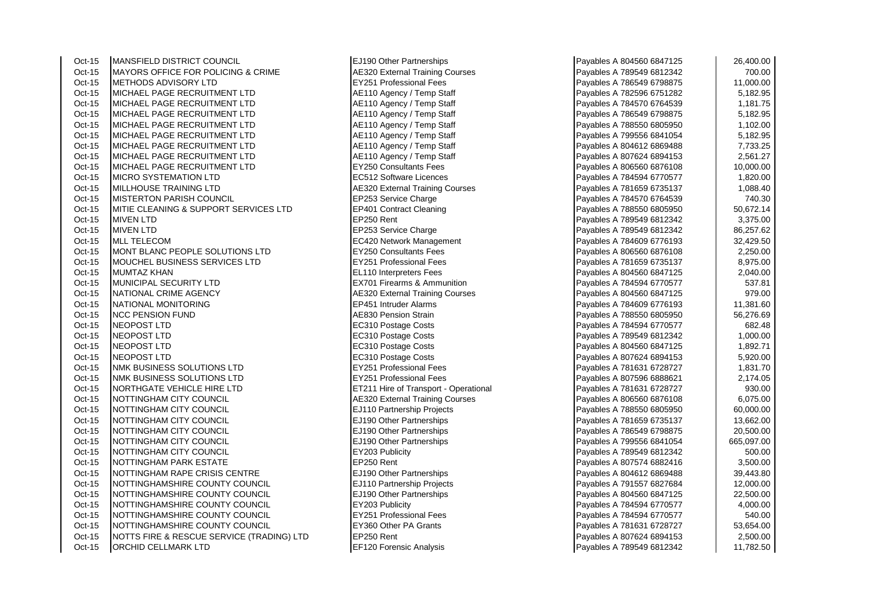| Oct-15   | MANSFIELD DISTRICT COUNCIL                    | EJ190 Other Partnerships               | Payables A 804560 6847125 | 26,400.00  |
|----------|-----------------------------------------------|----------------------------------------|---------------------------|------------|
| Oct-15   | <b>MAYORS OFFICE FOR POLICING &amp; CRIME</b> | <b>AE320 External Training Courses</b> | Payables A 789549 6812342 | 700.00     |
| Oct-15   | <b>METHODS ADVISORY LTD</b>                   | <b>EY251 Professional Fees</b>         | Payables A 786549 6798875 | 11,000.00  |
| Oct-15   | MICHAEL PAGE RECRUITMENT LTD                  | AE110 Agency / Temp Staff              | Payables A 782596 6751282 | 5,182.95   |
| Oct-15   | MICHAEL PAGE RECRUITMENT LTD                  | AE110 Agency / Temp Staff              | Payables A 784570 6764539 | 1,181.75   |
| Oct-15   | MICHAEL PAGE RECRUITMENT LTD                  | AE110 Agency / Temp Staff              | Payables A 786549 6798875 | 5,182.95   |
| Oct-15   | MICHAEL PAGE RECRUITMENT LTD                  | AE110 Agency / Temp Staff              | Payables A 788550 6805950 | 1,102.00   |
| Oct-15   | MICHAEL PAGE RECRUITMENT LTD                  | AE110 Agency / Temp Staff              | Payables A 799556 6841054 | 5,182.95   |
| Oct-15   | MICHAEL PAGE RECRUITMENT LTD                  | AE110 Agency / Temp Staff              | Payables A 804612 6869488 | 7,733.25   |
| Oct-15   | MICHAEL PAGE RECRUITMENT LTD                  | AE110 Agency / Temp Staff              | Payables A 807624 6894153 | 2,561.27   |
| Oct-15   | MICHAEL PAGE RECRUITMENT LTD                  | <b>EY250 Consultants Fees</b>          | Payables A 806560 6876108 | 10,000.00  |
| Oct-15   | <b>MICRO SYSTEMATION LTD</b>                  | EC512 Software Licences                | Payables A 784594 6770577 | 1,820.00   |
| Oct-15   | <b>MILLHOUSE TRAINING LTD</b>                 | <b>AE320 External Training Courses</b> | Payables A 781659 6735137 | 1,088.40   |
| Oct-15   | <b>MISTERTON PARISH COUNCIL</b>               | EP253 Service Charge                   | Payables A 784570 6764539 | 740.30     |
| Oct-15   | MITIE CLEANING & SUPPORT SERVICES LTD         | EP401 Contract Cleaning                | Payables A 788550 6805950 | 50,672.14  |
| Oct-15   | <b>MIVEN LTD</b>                              | EP250 Rent                             | Payables A 789549 6812342 | 3,375.00   |
| Oct-15   | <b>MIVEN LTD</b>                              | EP253 Service Charge                   | Payables A 789549 6812342 | 86,257.62  |
| Oct-15   | <b>MLL TELECOM</b>                            | EC420 Network Management               | Payables A 784609 6776193 | 32,429.50  |
| Oct-15   | MONT BLANC PEOPLE SOLUTIONS LTD               | <b>EY250 Consultants Fees</b>          | Payables A 806560 6876108 | 2,250.00   |
| Oct-15   | MOUCHEL BUSINESS SERVICES LTD                 | EY251 Professional Fees                | Payables A 781659 6735137 | 8,975.00   |
| Oct-15   | <b>MUMTAZ KHAN</b>                            | <b>EL110 Interpreters Fees</b>         | Payables A 804560 6847125 | 2,040.00   |
| Oct-15   | MUNICIPAL SECURITY LTD                        | <b>EX701 Firearms &amp; Ammunition</b> | Payables A 784594 6770577 | 537.81     |
| Oct-15   | NATIONAL CRIME AGENCY                         | <b>AE320 External Training Courses</b> | Payables A 804560 6847125 | 979.00     |
| Oct-15   | <b>NATIONAL MONITORING</b>                    | EP451 Intruder Alarms                  | Payables A 784609 6776193 | 11,381.60  |
| Oct-15   | <b>NCC PENSION FUND</b>                       | <b>AE830 Pension Strain</b>            | Payables A 788550 6805950 | 56,276.69  |
| Oct-15   | <b>NEOPOST LTD</b>                            | EC310 Postage Costs                    | Payables A 784594 6770577 | 682.48     |
| Oct-15   | NEOPOST LTD                                   | EC310 Postage Costs                    | Payables A 789549 6812342 | 1,000.00   |
| Oct-15   | <b>NEOPOST LTD</b>                            | EC310 Postage Costs                    | Payables A 804560 6847125 | 1,892.71   |
| Oct-15   | INEOPOST LTD                                  | EC310 Postage Costs                    | Payables A 807624 6894153 | 5,920.00   |
| Oct-15   | NMK BUSINESS SOLUTIONS LTD                    | <b>EY251 Professional Fees</b>         | Payables A 781631 6728727 | 1,831.70   |
| Oct-15   | NMK BUSINESS SOLUTIONS LTD                    | <b>EY251 Professional Fees</b>         | Payables A 807596 6888621 | 2,174.05   |
| Oct-15   | NORTHGATE VEHICLE HIRE LTD                    | ET211 Hire of Transport - Operational  | Payables A 781631 6728727 | 930.00     |
| Oct-15   | NOTTINGHAM CITY COUNCIL                       | <b>AE320 External Training Courses</b> | Payables A 806560 6876108 | 6,075.00   |
| Oct-15   | NOTTINGHAM CITY COUNCIL                       | EJ110 Partnership Projects             | Payables A 788550 6805950 | 60,000.00  |
| Oct-15   | NOTTINGHAM CITY COUNCIL                       | EJ190 Other Partnerships               | Payables A 781659 6735137 | 13,662.00  |
| Oct-15   | NOTTINGHAM CITY COUNCIL                       | EJ190 Other Partnerships               | Payables A 786549 6798875 | 20,500.00  |
| Oct-15   | NOTTINGHAM CITY COUNCIL                       | EJ190 Other Partnerships               | Payables A 799556 6841054 | 665,097.00 |
| Oct-15   | NOTTINGHAM CITY COUNCIL                       | EY203 Publicity                        | Payables A 789549 6812342 | 500.00     |
| Oct-15   | NOTTINGHAM PARK ESTATE                        | EP250 Rent                             | Payables A 807574 6882416 | 3,500.00   |
| Oct-15   | NOTTINGHAM RAPE CRISIS CENTRE                 | EJ190 Other Partnerships               | Payables A 804612 6869488 | 39,443.80  |
| Oct-15   | NOTTINGHAMSHIRE COUNTY COUNCIL                | EJ110 Partnership Projects             | Payables A 791557 6827684 | 12,000.00  |
| Oct-15   | NOTTINGHAMSHIRE COUNTY COUNCIL                | EJ190 Other Partnerships               | Payables A 804560 6847125 | 22,500.00  |
| Oct-15   | NOTTINGHAMSHIRE COUNTY COUNCIL                | EY203 Publicity                        | Payables A 784594 6770577 | 4,000.00   |
| Oct-15   | NOTTINGHAMSHIRE COUNTY COUNCIL                | <b>EY251 Professional Fees</b>         | Payables A 784594 6770577 | 540.00     |
| Oct-15   | NOTTINGHAMSHIRE COUNTY COUNCIL                | EY360 Other PA Grants                  | Payables A 781631 6728727 | 53,654.00  |
| Oct-15   | NOTTS FIRE & RESCUE SERVICE (TRADING) LTD     | EP250 Rent                             | Payables A 807624 6894153 | 2,500.00   |
| $Oct-15$ | ORCHID CELLMARK LTD                           | EF120 Forensic Analysis                | Pavables A 789549 6812342 | 11.782.50  |

| Payables A 804560 6847125                              | 26,400.00            |
|--------------------------------------------------------|----------------------|
| Payables A 789549 6812342                              | 700.00               |
| Payables A 786549 6798875                              | 11,000.00            |
| Payables A 782596 6751282                              | 5,182.95             |
| Payables A 784570 6764539                              | 1,181.75             |
| Payables A 786549 6798875                              | 5,182.95             |
| Payables A 788550 6805950                              | 1,102.00             |
| Payables A 799556 6841054                              | 5,182.95             |
| Payables A 804612 6869488                              | 7,733.25             |
| Payables A 807624 6894153                              | 2,561.27             |
| Payables A 806560 6876108                              | 10,000.00            |
| Payables A 784594 6770577                              | 1,820.00             |
| Payables A 781659 6735137                              | 1,088.40             |
| Payables A 784570 6764539                              | 740.30               |
| Payables A 788550 6805950                              | 50,672.14            |
| Payables A 789549 6812342                              | 3,375.00             |
| Payables A 789549 6812342                              | 86,257.62            |
| Payables A 784609 6776193                              | 32,429.50            |
| Payables A 806560 6876108                              | 2,250.00             |
| Payables A 781659 6735137                              | 8,975.00             |
| Payables A 804560 6847125                              | 2,040.00             |
| Payables A 784594 6770577                              | 537.81               |
| Payables A 804560 6847125                              | 979.00               |
| Payables A 784609 6776193                              | 11,381.60            |
| Payables A 788550 6805950                              | 56,276.69            |
| Payables A 784594 6770577                              | 682.48               |
| Payables A 789549 6812342                              | 1,000.00             |
| Payables A 804560 6847125                              | 1,892.71             |
| Payables A 807624 6894153                              | 5,920.00             |
| Payables A 781631 6728727                              | 1,831.70             |
| Payables A 807596 6888621                              | 2,174.05             |
| Payables A 781631 6728727                              | 930.00               |
| Payables A 806560 6876108                              | 6,075.00             |
| Payables A 788550 6805950                              | 60,000.00            |
| Payables A 781659 6735137                              | 13,662.00            |
| Payables A 786549 6798875<br>Payables A 799556 6841054 | 20,500.00            |
| Payables A 789549 6812342                              | 665,097.00<br>500.00 |
| Payables A 807574 6882416                              | 3,500.00             |
| Payables A 804612 6869488                              | 39,443.80            |
| Payables A 791557 6827684                              | 12,000.00            |
| Payables A 804560 6847125                              | 22,500.00            |
| Payables A 784594 6770577                              | 4,000.00             |
| Payables A 784594 6770577                              | 540.00               |
| Payables A 781631 6728727                              | 53,654.00            |
| Payables A 807624 6894153                              | 2,500.00             |
| Payables A 789549 6812342                              | 11,782.50            |
|                                                        |                      |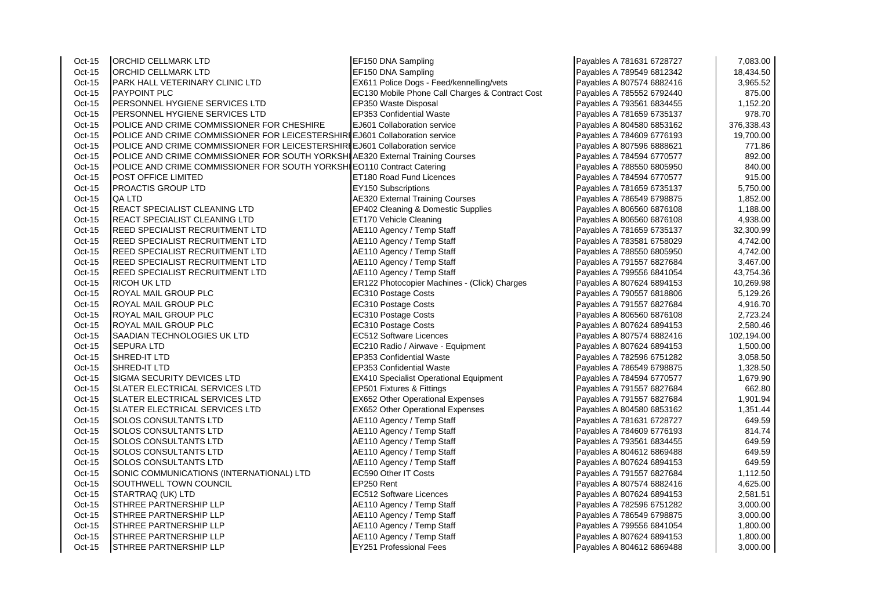| Oct-15 | ORCHID CELLMARK LTD                                                             | EF150 DNA Sampling                              | Payables A 781631 6728727 | 7,083.00   |
|--------|---------------------------------------------------------------------------------|-------------------------------------------------|---------------------------|------------|
| Oct-15 | ORCHID CELLMARK LTD                                                             | EF150 DNA Sampling                              | Payables A 789549 6812342 | 18,434.50  |
| Oct-15 | PARK HALL VETERINARY CLINIC LTD                                                 | EX611 Police Dogs - Feed/kennelling/vets        | Payables A 807574 6882416 | 3,965.52   |
| Oct-15 | <b>PAYPOINT PLC</b>                                                             | EC130 Mobile Phone Call Charges & Contract Cost | Payables A 785552 6792440 | 875.00     |
| Oct-15 | PERSONNEL HYGIENE SERVICES LTD                                                  | EP350 Waste Disposal                            | Payables A 793561 6834455 | 1,152.20   |
| Oct-15 | PERSONNEL HYGIENE SERVICES LTD                                                  | EP353 Confidential Waste                        | Payables A 781659 6735137 | 978.70     |
| Oct-15 | POLICE AND CRIME COMMISSIONER FOR CHESHIRE                                      | EJ601 Collaboration service                     | Payables A 804580 6853162 | 376,338.43 |
| Oct-15 | POLICE AND CRIME COMMISSIONER FOR LEICESTERSHIRIEJ601 Collaboration service     |                                                 | Payables A 784609 6776193 | 19,700.00  |
| Oct-15 | POLICE AND CRIME COMMISSIONER FOR LEICESTERSHIRIEJ601 Collaboration service     |                                                 | Payables A 807596 6888621 | 771.86     |
| Oct-15 | POLICE AND CRIME COMMISSIONER FOR SOUTH YORKSHI AE320 External Training Courses |                                                 | Payables A 784594 6770577 | 892.00     |
| Oct-15 | POLICE AND CRIME COMMISSIONER FOR SOUTH YORKSHI EO110 Contract Catering         |                                                 | Payables A 788550 6805950 | 840.00     |
| Oct-15 | POST OFFICE LIMITED                                                             | ET180 Road Fund Licences                        | Payables A 784594 6770577 | 915.00     |
| Oct-15 | PROACTIS GROUP LTD                                                              | EY150 Subscriptions                             | Payables A 781659 6735137 | 5,750.00   |
| Oct-15 | QA LTD                                                                          | <b>AE320 External Training Courses</b>          | Payables A 786549 6798875 | 1,852.00   |
| Oct-15 | REACT SPECIALIST CLEANING LTD                                                   | EP402 Cleaning & Domestic Supplies              | Payables A 806560 6876108 | 1,188.00   |
| Oct-15 | REACT SPECIALIST CLEANING LTD                                                   | ET170 Vehicle Cleaning                          | Payables A 806560 6876108 | 4,938.00   |
| Oct-15 | REED SPECIALIST RECRUITMENT LTD                                                 | AE110 Agency / Temp Staff                       | Payables A 781659 6735137 | 32,300.99  |
| Oct-15 | REED SPECIALIST RECRUITMENT LTD                                                 | AE110 Agency / Temp Staff                       | Payables A 783581 6758029 | 4,742.00   |
| Oct-15 | REED SPECIALIST RECRUITMENT LTD                                                 | AE110 Agency / Temp Staff                       | Payables A 788550 6805950 | 4,742.00   |
| Oct-15 | <b>REED SPECIALIST RECRUITMENT LTD</b>                                          | AE110 Agency / Temp Staff                       | Payables A 791557 6827684 | 3,467.00   |
| Oct-15 | REED SPECIALIST RECRUITMENT LTD                                                 | AE110 Agency / Temp Staff                       | Payables A 799556 6841054 | 43,754.36  |
| Oct-15 | <b>RICOH UK LTD</b>                                                             | ER122 Photocopier Machines - (Click) Charges    | Payables A 807624 6894153 | 10,269.98  |
| Oct-15 | ROYAL MAIL GROUP PLC                                                            | EC310 Postage Costs                             | Payables A 790557 6818806 | 5,129.26   |
| Oct-15 | ROYAL MAIL GROUP PLC                                                            | EC310 Postage Costs                             | Payables A 791557 6827684 | 4,916.70   |
| Oct-15 | ROYAL MAIL GROUP PLC                                                            | EC310 Postage Costs                             | Payables A 806560 6876108 | 2,723.24   |
| Oct-15 | ROYAL MAIL GROUP PLC                                                            | EC310 Postage Costs                             | Payables A 807624 6894153 | 2,580.46   |
| Oct-15 | SAADIAN TECHNOLOGIES UK LTD                                                     | EC512 Software Licences                         | Payables A 807574 6882416 | 102,194.00 |
| Oct-15 | <b>SEPURA LTD</b>                                                               | EC210 Radio / Airwave - Equipment               | Payables A 807624 6894153 | 1,500.00   |
| Oct-15 | SHRED-IT LTD                                                                    | <b>EP353 Confidential Waste</b>                 | Payables A 782596 6751282 | 3,058.50   |
| Oct-15 | SHRED-IT LTD                                                                    | EP353 Confidential Waste                        | Payables A 786549 6798875 | 1,328.50   |
| Oct-15 | SIGMA SECURITY DEVICES LTD                                                      | <b>EX410 Specialist Operational Equipment</b>   | Payables A 784594 6770577 | 1,679.90   |
| Oct-15 | SLATER ELECTRICAL SERVICES LTD                                                  | EP501 Fixtures & Fittings                       | Payables A 791557 6827684 | 662.80     |
| Oct-15 | <b>SLATER ELECTRICAL SERVICES LTD</b>                                           | EX652 Other Operational Expenses                | Payables A 791557 6827684 | 1,901.94   |
| Oct-15 | SLATER ELECTRICAL SERVICES LTD                                                  | <b>EX652 Other Operational Expenses</b>         | Payables A 804580 6853162 | 1,351.44   |
| Oct-15 | SOLOS CONSULTANTS LTD                                                           | AE110 Agency / Temp Staff                       | Payables A 781631 6728727 | 649.59     |
| Oct-15 | SOLOS CONSULTANTS LTD                                                           | AE110 Agency / Temp Staff                       | Payables A 784609 6776193 | 814.74     |
| Oct-15 | SOLOS CONSULTANTS LTD                                                           | AE110 Agency / Temp Staff                       | Payables A 793561 6834455 | 649.59     |
| Oct-15 | SOLOS CONSULTANTS LTD                                                           | AE110 Agency / Temp Staff                       | Payables A 804612 6869488 | 649.59     |
| Oct-15 | SOLOS CONSULTANTS LTD                                                           | AE110 Agency / Temp Staff                       | Payables A 807624 6894153 | 649.59     |
| Oct-15 | SONIC COMMUNICATIONS (INTERNATIONAL) LTD                                        | EC590 Other IT Costs                            | Payables A 791557 6827684 | 1,112.50   |
| Oct-15 | SOUTHWELL TOWN COUNCIL                                                          | EP250 Rent                                      | Payables A 807574 6882416 | 4,625.00   |
| Oct-15 | STARTRAQ (UK) LTD                                                               | EC512 Software Licences                         | Payables A 807624 6894153 | 2,581.51   |
| Oct-15 | STHREE PARTNERSHIP LLP                                                          | AE110 Agency / Temp Staff                       | Payables A 782596 6751282 | 3,000.00   |
| Oct-15 | STHREE PARTNERSHIP LLP                                                          | AE110 Agency / Temp Staff                       | Payables A 786549 6798875 | 3,000.00   |
| Oct-15 | STHREE PARTNERSHIP LLP                                                          | AE110 Agency / Temp Staff                       | Payables A 799556 6841054 | 1,800.00   |
| Oct-15 | STHREE PARTNERSHIP LLP                                                          | AE110 Agency / Temp Staff                       | Payables A 807624 6894153 | 1,800.00   |
| Oct-15 | <b>STHREE PARTNERSHIP LLP</b>                                                   | <b>EY251 Professional Fees</b>                  | Payables A 804612 6869488 | 3,000.00   |